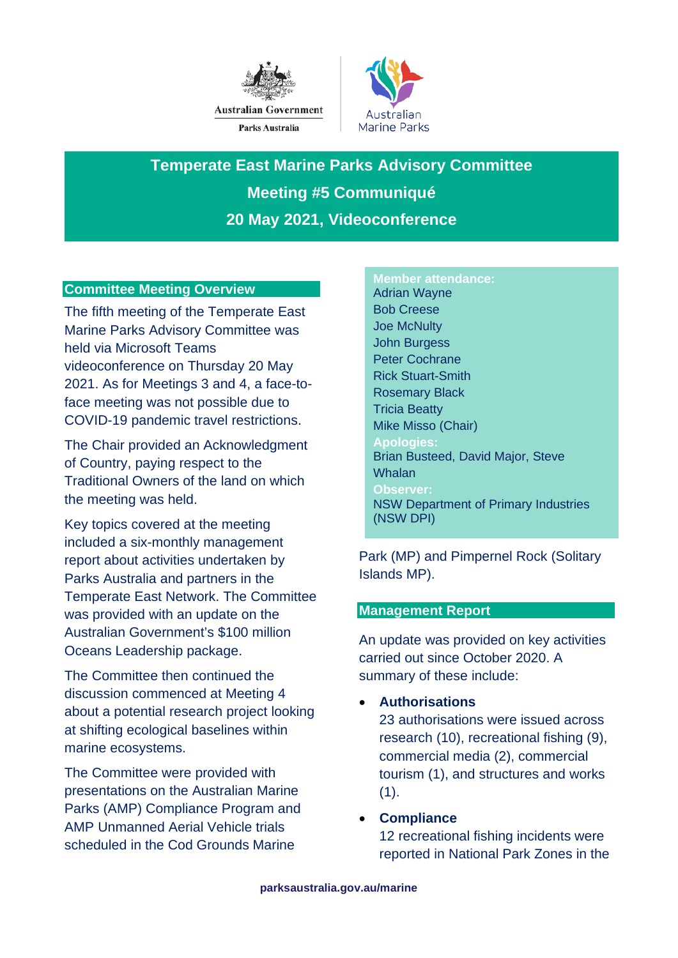



**Temperate East Marine Parks Advisory Committee Meeting #5 Communiqué 20 May 2021, Videoconference**

## **Committee Meeting Overview**

The fifth meeting of the Temperate East Marine Parks Advisory Committee was held via Microsoft Teams videoconference on Thursday 20 May 2021. As for Meetings 3 and 4, a face-toface meeting was not possible due to COVID-19 pandemic travel restrictions.

The Chair provided an Acknowledgment of Country, paying respect to the Traditional Owners of the land on which the meeting was held.

Key topics covered at the meeting included a six-monthly management report about activities undertaken by Parks Australia and partners in the Temperate East Network. The Committee was provided with an update on the Australian Government's \$100 million Oceans Leadership package.

The Committee then continued the discussion commenced at Meeting 4 about a potential research project looking at shifting ecological baselines within marine ecosystems.

The Committee were provided with presentations on the Australian Marine Parks (AMP) Compliance Program and AMP Unmanned Aerial Vehicle trials scheduled in the Cod Grounds Marine

#### **Member attendance:**

Adrian Wayne Bob Creese Joe McNulty John Burgess Peter Cochrane Rick Stuart-Smith Rosemary Black Tricia Beatty Mike Misso (Chair) **Apologies:** Brian Busteed, David Major, Steve **Whalan Observer:** NSW Department of Primary Industries (NSW DPI)

Park (MP) and Pimpernel Rock (Solitary Islands MP).

#### **Management Report**

An update was provided on key activities carried out since October 2020. A summary of these include:

• **Authorisations**

23 authorisations were issued across research (10), recreational fishing (9), commercial media (2), commercial tourism (1), and structures and works  $(1).$ 

## • **Compliance**

12 recreational fishing incidents were reported in National Park Zones in the